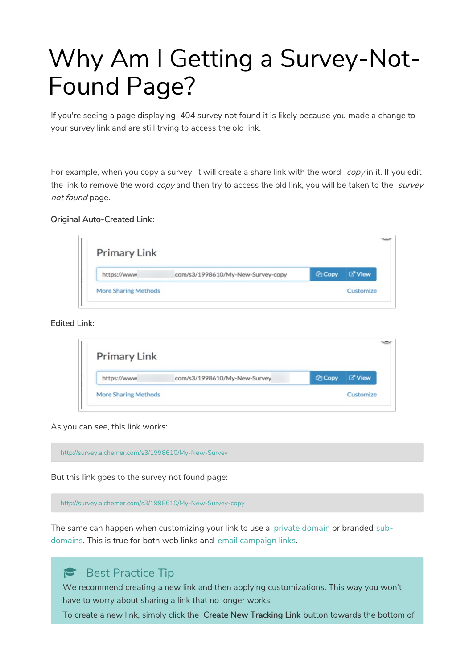## Why Am I Getting a Survey-Not-Found Page?

If you're seeing a page displaying 404 survey not found it is likely because you made a change to your survey link and are still trying to access the old link.

For example, when you copy a survey, it will create a share link with the word copy in it. If you edit the link to remove the word copy and then try to access the old link, you will be taken to the survey not found page.

## Original Auto-Created Link:

|  | com/s3/1998610/My-New-Survey-copy | <b><i><u>P</u></i></b> Copy | <b><i>C</i></b> View |
|--|-----------------------------------|-----------------------------|----------------------|
|--|-----------------------------------|-----------------------------|----------------------|

## Edited Link:

| https://www | com/s3/1998610/My-New-Survey | <b><i><u>Ph</u></i></b> Copy | <b>C'View</b> |
|-------------|------------------------------|------------------------------|---------------|

As you can see, this link works:

http://survey.alchemer.com/s3/1998610/My-New-Survey

But this link goes to the survey not found page:

http://survey.alchemer.com/s3/1998610/My-New-Survey-copy

The same can happen when customizing your link to use a private domain or branded subdomains. This is true for both web links and email campaign links.

## Best Practice Tip

We recommend creating a new link and then applying customizations. This way you won't have to worry about sharing a link that no longer works.

To create a new link, simply click the Create New Tracking Link button towards the bottom of